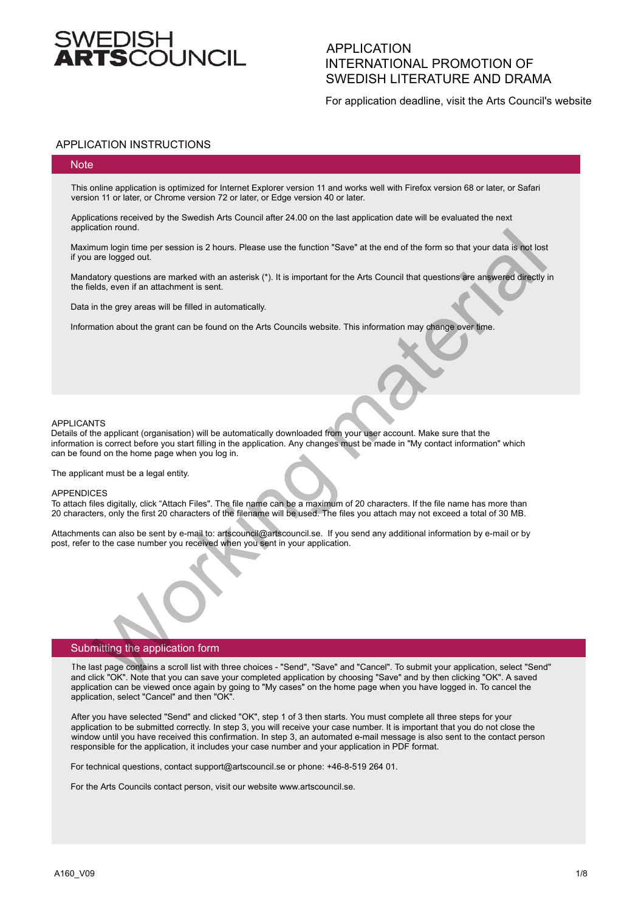# /EDISH<br>**!TS**COUN(

# APPLICATION INTERNATIONAL PROMOTION OF SWEDISH LITERATURE AND DRAMA

For application deadline, visit the Arts Council's website

## APPLICATION INSTRUCTIONS

#### **Note**

This online application is optimized for Internet Explorer version 11 and works well with Firefox version 68 or later, or Safari version 11 or later, or Chrome version 72 or later, or Edge version 40 or later.

Applications received by the Swedish Arts Council after 24.00 on the last application date will be evaluated the next application round.

Maximum login time per session is 2 hours. Please use the function "Save" at the end of the form so that your data is not lost if you are logged out.

Mandatory questions are marked with an asterisk (\*). It is important for the Arts Council that questions are answered directly in the fields, even if an attachment is sent.

Data in the grey areas will be filled in automatically.

Information about the grant can be found on the Arts Councils website. This information may change over time.

#### APPLICANTS

Details of the applicant (organisation) will be automatically downloaded from your user account. Make sure that the information is correct before you start filling in the application. Any changes must be made in "My contact information" which can be found on the home page when you log in. assume to the season is 2 hours. Please use the function "Save" at the end of the form so that your data is not lost<br>and high three persession is 2 hours. Please use the function "Save" at the end of the form so that your

The applicant must be a legal entity.

#### APPENDICES

To attach files digitally, click "Attach Files". The file name can be a maximum of 20 characters. If the file name has more than 20 characters, only the first 20 characters of the filename will be used. The files you attach may not exceed a total of 30 MB.

Attachments can also be sent by e-mail to: artscouncil@artscouncil.se. If you send any additional information by e-mail or by post, refer to the case number you received when you sent in your application.

### Submitting the application form

The last page contains a scroll list with three choices - "Send", "Save" and "Cancel". To submit your application, select "Send" and click "OK". Note that you can save your completed application by choosing "Save" and by then clicking "OK". A saved application can be viewed once again by going to "My cases" on the home page when you have logged in. To cancel the application, select "Cancel" and then "OK".

After you have selected "Send" and clicked "OK", step 1 of 3 then starts. You must complete all three steps for your application to be submitted correctly. In step 3, you will receive your case number. It is important that you do not close the window until you have received this confirmation. In step 3, an automated e-mail message is also sent to the contact person responsible for the application, it includes your case number and your application in PDF format.

For technical questions, contact support@artscouncil.se or phone: +46-8-519 264 01.

For the Arts Councils contact person, visit our website www.artscouncil.se.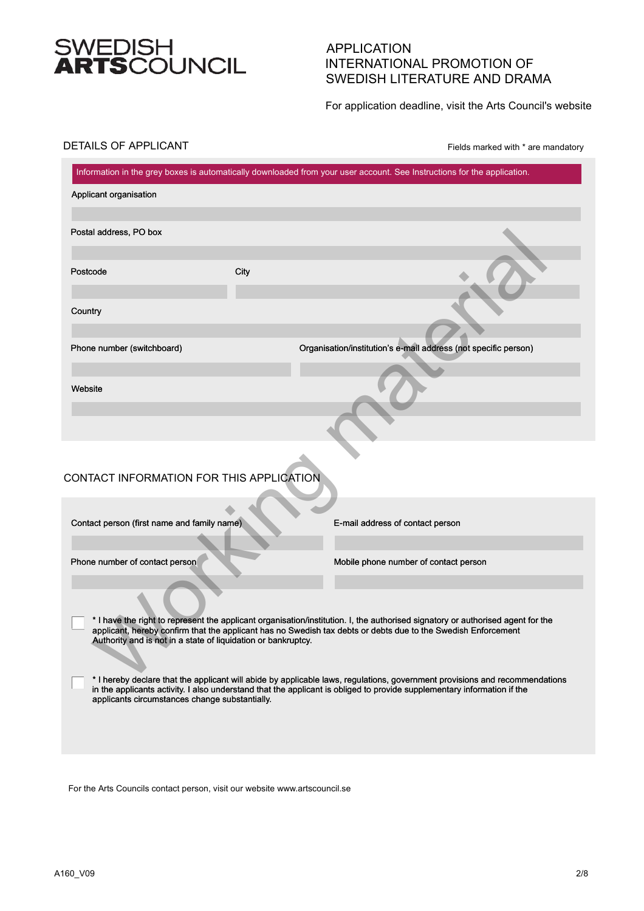# SWEDISH<br>**ARTS**COUNCIL

# APPLICATION INTERNATIONAL PROMOTION OF SWEDISH LITERATURE AND DRAMA

For application deadline, visit the Arts Council's website

## DETAILS OF APPLICANT

Fields marked with \* are mandatory

|                                                               |      | Information in the grey boxes is automatically downloaded from your user account. See Instructions for the application.                                                                                                                                |
|---------------------------------------------------------------|------|--------------------------------------------------------------------------------------------------------------------------------------------------------------------------------------------------------------------------------------------------------|
| Applicant organisation                                        |      |                                                                                                                                                                                                                                                        |
| Postal address, PO box                                        |      |                                                                                                                                                                                                                                                        |
| Postcode                                                      | City |                                                                                                                                                                                                                                                        |
| Country                                                       |      |                                                                                                                                                                                                                                                        |
| Phone number (switchboard)                                    |      | Organisation/institution's e-mail address (not specific person)                                                                                                                                                                                        |
| Website                                                       |      |                                                                                                                                                                                                                                                        |
|                                                               |      |                                                                                                                                                                                                                                                        |
|                                                               |      |                                                                                                                                                                                                                                                        |
| CONTACT INFORMATION FOR THIS APPLICATION                      |      |                                                                                                                                                                                                                                                        |
| Contact person (first name and family name)                   |      | E-mail address of contact person                                                                                                                                                                                                                       |
| Phone number of contact person                                |      | Mobile phone number of contact person                                                                                                                                                                                                                  |
|                                                               |      |                                                                                                                                                                                                                                                        |
| Authority and is not in a state of liquidation or bankruptcy. |      | * I have the right to represent the applicant organisation/institution. I, the authorised signatory or authorised agent for the<br>applicant, hereby confirm that the applicant has no Swedish tax debts or debts due to the Swedish Enforcement       |
| applicants circumstances change substantially.                |      | * I hereby declare that the applicant will abide by applicable laws, regulations, government provisions and recommendations<br>in the applicants activity. I also understand that the applicant is obliged to provide supplementary information if the |
|                                                               |      |                                                                                                                                                                                                                                                        |
|                                                               |      |                                                                                                                                                                                                                                                        |

For the Arts Councils contact person, visit our website www.artscouncil.se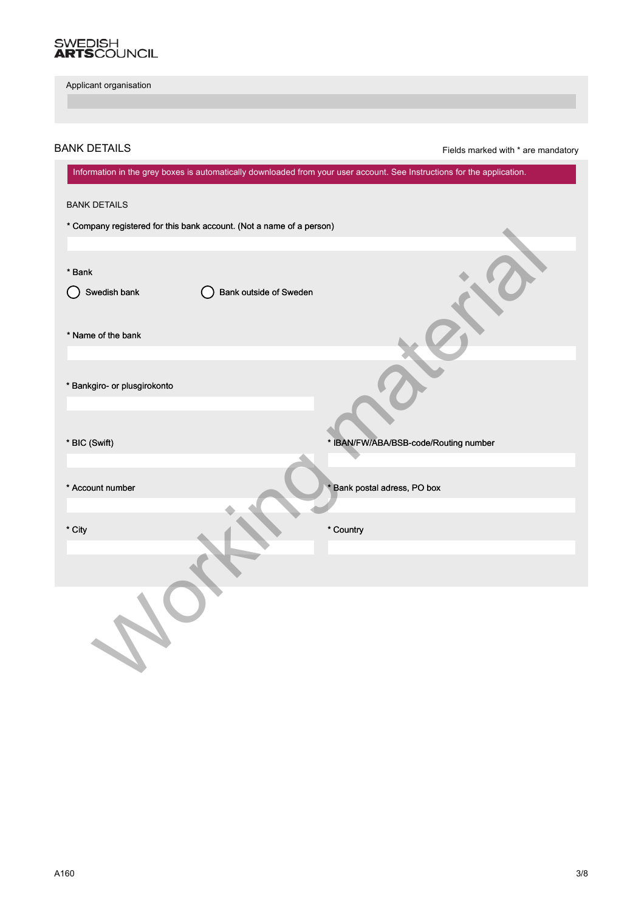# SWEDISH<br>**ARTS**COUNCIL

BANK DETAILS

| Applicant organisation                                                                                                  |                                       |
|-------------------------------------------------------------------------------------------------------------------------|---------------------------------------|
|                                                                                                                         |                                       |
| <b>ANK DETAILS</b>                                                                                                      | Fields marked with * are mandatory    |
| Information in the grey boxes is automatically downloaded from your user account. See Instructions for the application. |                                       |
| <b>BANK DETAILS</b>                                                                                                     |                                       |
| * Company registered for this bank account. (Not a name of a person)                                                    |                                       |
| * Bank<br>Bank outside of Sweden<br>Swedish bank                                                                        |                                       |
| * Name of the bank                                                                                                      |                                       |
| * Bankgiro- or plusgirokonto                                                                                            |                                       |
| * BIC (Swift)                                                                                                           | * IBAN/FW/ABA/BSB-code/Routing number |
| * Account number                                                                                                        | * Bank postal adress, PO box          |
| * City                                                                                                                  | * Country                             |
| $\lambda$                                                                                                               |                                       |
| $\overline{O}$                                                                                                          |                                       |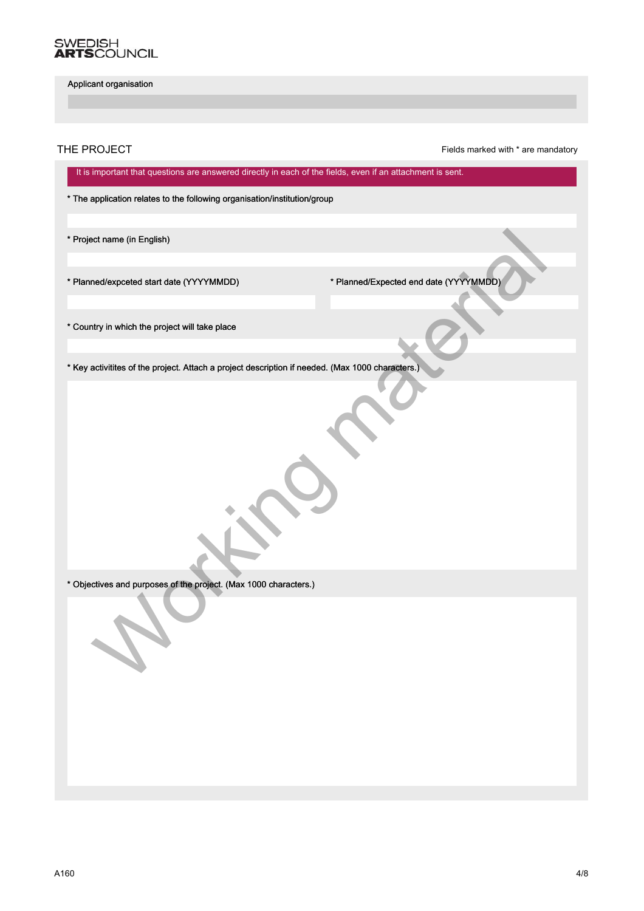# SWEDISH<br>**ARTS**COUNCIL

Applicant organisation

THE PROJECT **Fields** marked with \* are mandatory

It is important that questions are answered directly in each of the fields, even if an attachment is sent.

\* The application relates to the following organisation/institution/group

\* Project name (in English)

\* Planned/expceted start date (YYYYMMDD) \* Planned/Expected end date (YYYYMMDD)

\* Country in which the project will take place

\* Key activitites of the project. Attach a project description if needed. (Max 1000 characters.) Not marine (in English)<br>
Introduction data (YYYYMMDD)<br>
Naty in which the project will take place<br>
activities of the project. Attach a project description if needed. (Max 1000 characters.)<br>
Critices and purposes of the proj

\* Objectives and purposes of the project. (Max 1000 characters.)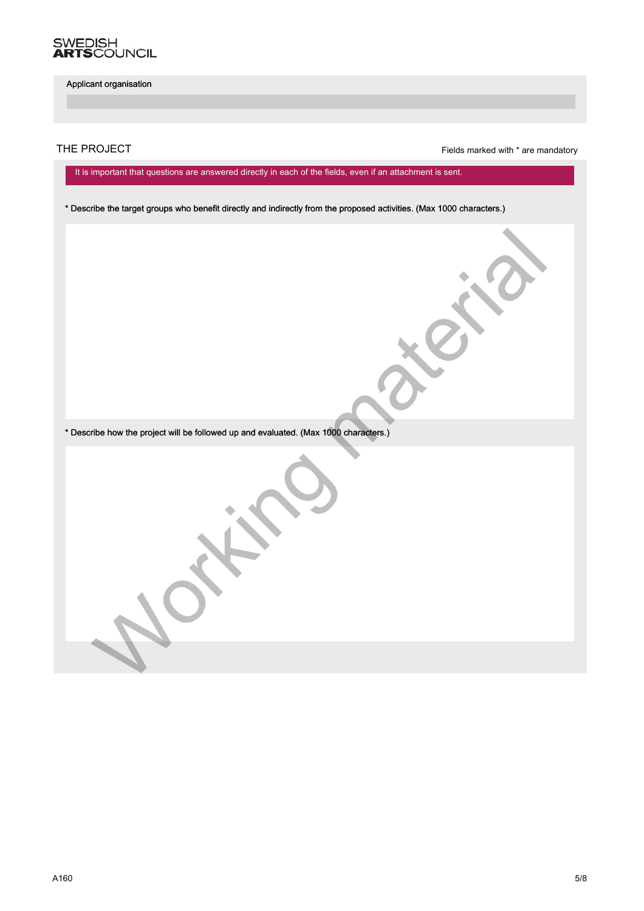

THE PROJECT **Fields** marked with \* are mandatory

It is important that questions are answered directly in each of the fields, even if an attachment is sent.

\* Describe the target groups who benefit directly and indirectly from the proposed activities. (Max 1000 characters.)

\* Describe how the project will be followed up and evaluated. (Max 1000 characters.) Working and will be followed up and evaluated (Max. 1880) contactly.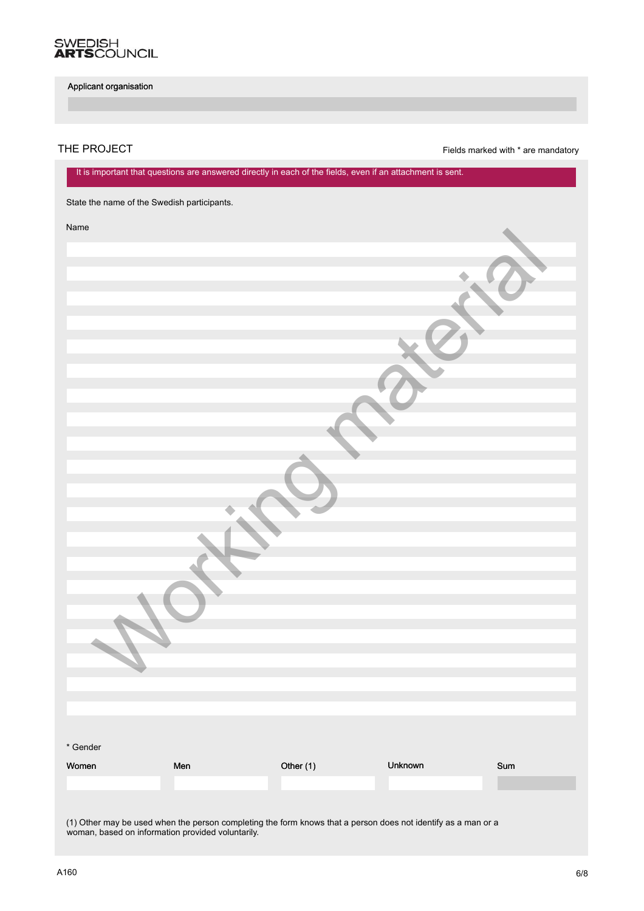

THE PROJECT **Fields** marked with \* are mandatory

|          |                                             |           | It is important that questions are answered directly in each of the fields, even if an attachment is sent. |     |
|----------|---------------------------------------------|-----------|------------------------------------------------------------------------------------------------------------|-----|
|          | State the name of the Swedish participants. |           |                                                                                                            |     |
| Name     |                                             |           |                                                                                                            |     |
|          |                                             |           |                                                                                                            |     |
|          |                                             |           |                                                                                                            |     |
|          |                                             |           |                                                                                                            |     |
|          |                                             |           |                                                                                                            |     |
|          |                                             |           |                                                                                                            |     |
|          |                                             |           |                                                                                                            |     |
|          |                                             |           |                                                                                                            |     |
|          |                                             |           |                                                                                                            |     |
|          |                                             |           |                                                                                                            |     |
|          |                                             |           |                                                                                                            |     |
|          |                                             |           |                                                                                                            |     |
|          |                                             |           |                                                                                                            |     |
|          |                                             |           |                                                                                                            |     |
|          |                                             |           |                                                                                                            |     |
|          |                                             |           |                                                                                                            |     |
|          |                                             |           |                                                                                                            |     |
|          |                                             |           |                                                                                                            |     |
|          |                                             |           |                                                                                                            |     |
|          |                                             |           |                                                                                                            |     |
|          |                                             |           |                                                                                                            |     |
|          |                                             |           |                                                                                                            |     |
|          |                                             |           |                                                                                                            |     |
| * Gender |                                             |           |                                                                                                            |     |
| Women    | Men                                         | Other (1) | Unknown                                                                                                    | Sum |
|          |                                             |           |                                                                                                            |     |
|          |                                             |           |                                                                                                            |     |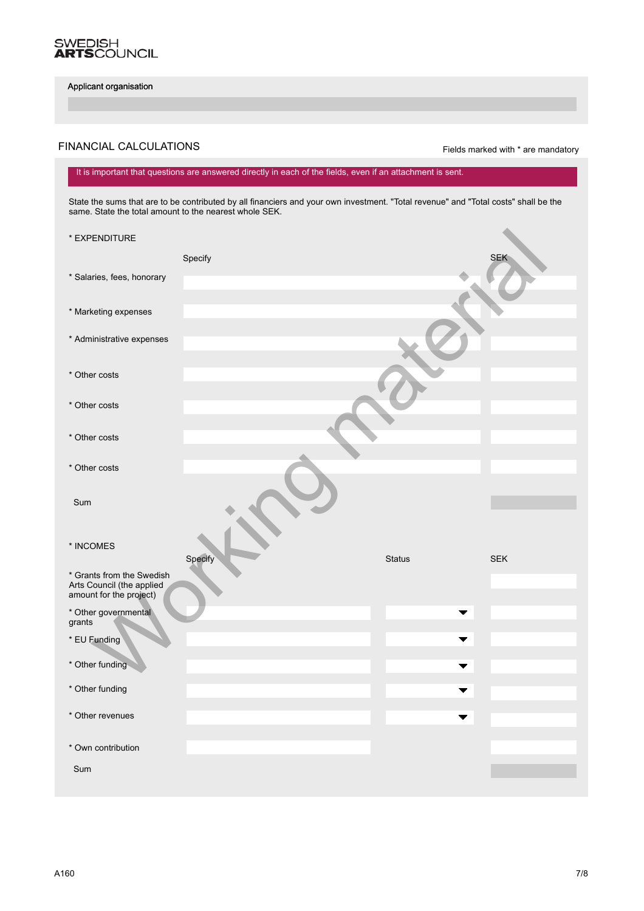

# FINANCIAL CALCULATIONS **FINANCIAL CALCULATIONS Fields** marked with \* are mandatory

#### State the sums that are to be contributed by all financiers and your own investment. "Total revenue" and "Total costs" shall be the It is important that questions are answered directly in each of the fields, even if an attachment is sent.

State the sums that are to be contributed by all financiers and your own investment. "Total revenue" and "Total costs" shall be the same. State the total amount to the nearest whole SEK.

| * EXPENDITURE                                                                     |         |               |            |
|-----------------------------------------------------------------------------------|---------|---------------|------------|
|                                                                                   | Specify |               | <b>SEK</b> |
| * Salaries, fees, honorary                                                        |         |               |            |
| * Marketing expenses                                                              |         |               |            |
| * Administrative expenses                                                         |         |               |            |
| * Other costs                                                                     |         |               |            |
| * Other costs                                                                     |         |               |            |
| * Other costs                                                                     |         |               |            |
| * Other costs                                                                     |         |               |            |
| Sum                                                                               |         |               |            |
| $^{\star}$ INCOMES                                                                | Specify | <b>Status</b> | <b>SEK</b> |
| * Grants from the Swedish<br>Arts Council (the applied<br>amount for the project) |         |               |            |
| * Other governmental<br>grants                                                    |         |               |            |
| * EU Funding                                                                      |         |               |            |
| * Other funding                                                                   |         |               |            |
| * Other funding                                                                   |         |               |            |
| * Other revenues                                                                  |         |               |            |
| * Own contribution                                                                |         |               |            |
| Sum                                                                               |         |               |            |